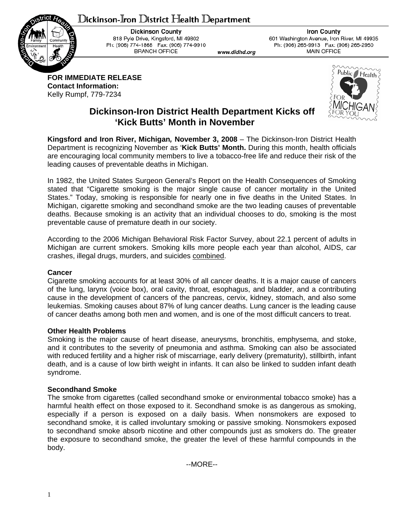# $D$ ickinson-Iron  $D$ istrict Health  $D$ epartment



**Dickinson County** 818 Pyle Drive, Kingsford, MI 49802 Ph: (906) 774-1868 Fax: (906) 774-9910 **BRANCH OFFICE** 

**Iron County** 601 Washington Avenue, Iron River, MI 49935 Ph: (906) 265-9913 Fax: (906) 265-2950 **MAIN OFFICE** 

**FOR IMMEDIATE RELEASE Contact Information:**  Kelly Rumpf, 779-7234



## **Dickinson-Iron District Health Department Kicks off 'Kick Butts' Month in November**

www.didhd.org

**Kingsford and Iron River, Michigan***,* **November 3, 2008** – The Dickinson-Iron District Health Department is recognizing November as '**Kick Butts' Month.** During this month, health officials are encouraging local community members to live a tobacco-free life and reduce their risk of the leading causes of preventable deaths in Michigan.

In 1982, the United States Surgeon General's Report on the Health Consequences of Smoking stated that "Cigarette smoking is the major single cause of cancer mortality in the United States." Today, smoking is responsible for nearly one in five deaths in the United States. In Michigan, cigarette smoking and secondhand smoke are the two leading causes of preventable deaths. Because smoking is an activity that an individual chooses to do, smoking is the most preventable cause of premature death in our society.

According to the 2006 Michigan Behavioral Risk Factor Survey, about 22.1 percent of adults in Michigan are current smokers. Smoking kills more people each year than alcohol, AIDS, car crashes, illegal drugs, murders, and suicides combined.

### **Cancer**

Cigarette smoking accounts for at least 30% of all cancer deaths. It is a major cause of cancers of the lung, larynx (voice box), oral cavity, throat, esophagus, and bladder, and a contributing cause in the development of cancers of the pancreas, cervix, kidney, stomach, and also some leukemias. Smoking causes about 87% of lung cancer deaths. Lung cancer is the leading cause of cancer deaths among both men and women, and is one of the most difficult cancers to treat.

### **Other Health Problems**

Smoking is the major cause of heart disease, aneurysms, bronchitis, emphysema, and stoke, and it contributes to the severity of pneumonia and asthma. Smoking can also be associated with reduced fertility and a higher risk of miscarriage, early delivery (prematurity), stillbirth, infant death, and is a cause of low birth weight in infants. It can also be linked to sudden infant death syndrome.

### **Secondhand Smoke**

The smoke from cigarettes (called secondhand smoke or environmental tobacco smoke) has a harmful health effect on those exposed to it. Secondhand smoke is as dangerous as smoking, especially if a person is exposed on a daily basis. When nonsmokers are exposed to secondhand smoke, it is called involuntary smoking or passive smoking. Nonsmokers exposed to secondhand smoke absorb nicotine and other compounds just as smokers do. The greater the exposure to secondhand smoke, the greater the level of these harmful compounds in the body.

--MORE--